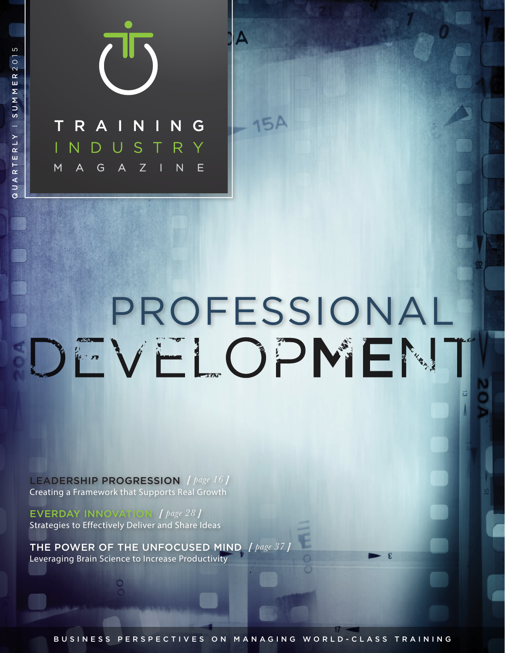

QUARTERLY I SUMMER 2015

QUARTERLY

I SUMMER201

 $\overline{5}$ 

# PROFESSIONAL<br>DEVELOPMENT

A

 $15A$ 

LEADERSHIP PROGRESSION *[ page 16 ]* Creating a Framework that Supports Real Growth

EVERDAY INNOVATION *[ page 28 ]* Strategies to Effectively Deliver and Share Ideas

THE POWER OF THE UNFOCUSED MIND *[ page 37 ]* Leveraging Brain Science to Increase Productivity

BUSINESS PERSPECTIVES ON MANAGING WORLD-CLASS TRAINING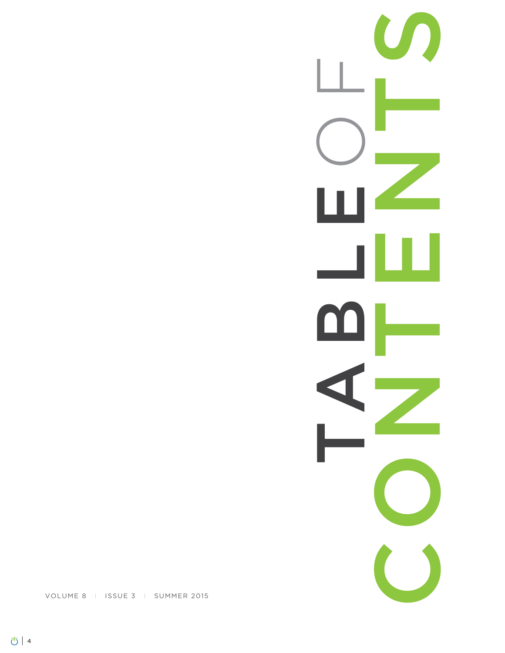CONTENTS TABLE O F $\overline{\phantom{0}}$  $\Box$ **Property** a,

VOLUME 8 I ISSUE 3 I SUMMER 2015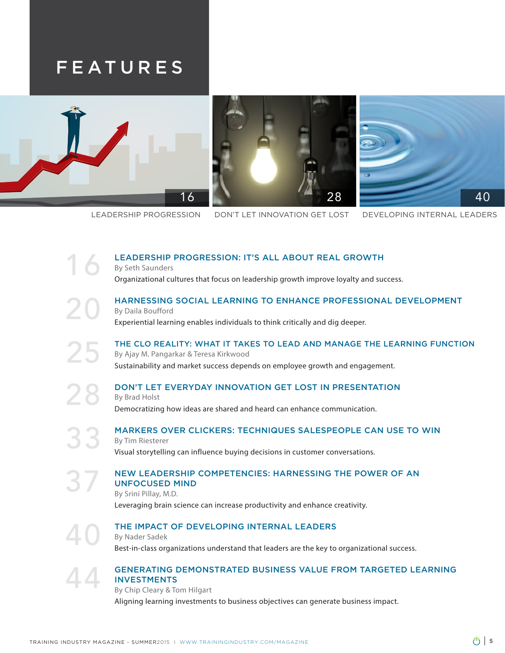### FEATURES



By Seth Saunders

LEADERSHIP PROGRESSION DON'T LET INNOVATION GET LOST DEVELOPING INTERNAL LEADERS

### HARNESSING SOCIAL LEARNING TO ENHANCE PROFESSIONAL DEVELOPMENT By Daila Boufford

Experiential learning enables individuals to think critically and dig deeper.

LEADERSHIP PROGRESSION: IT'S ALL ABOUT REAL GROWTH

Organizational cultures that focus on leadership growth improve loyalty and success.

THE CLO REALITY: WHAT IT TAKES TO LEAD AND MANAGE THE LEARNING FUNCTION By Ajay M. Pangarkar & Teresa Kirkwood Sustainability and market success depends on employee growth and engagement.

### DON'T LET EVERYDAY INNOVATION GET LOST IN PRESENTATION

By Brad Holst Democratizing how ideas are shared and heard can enhance communication.

MARKERS OVER CLICKERS: TECHNIQUES SALESPEOPLE CAN USE TO WIN By Tim Riesterer Visual storytelling can influence buying decisions in customer conversations.

### NEW LEADERSHIP COMPETENCIES: HARNESSING THE POWER OF AN UNFOCUSED MIND

By Srini Pillay, M.D. Leveraging brain science can increase productivity and enhance creativity.

### THE IMPACT OF DEVELOPING INTERNAL LEADERS

By Nader Sadek Best-in-class organizations understand that leaders are the key to organizational success.

### GENERATING DEMONSTRATED BUSINESS VALUE FROM TARGETED LEARNING **INVESTMENTS**

By Chip Cleary & Tom Hilgart Aligning learning investments to business objectives can generate business impact.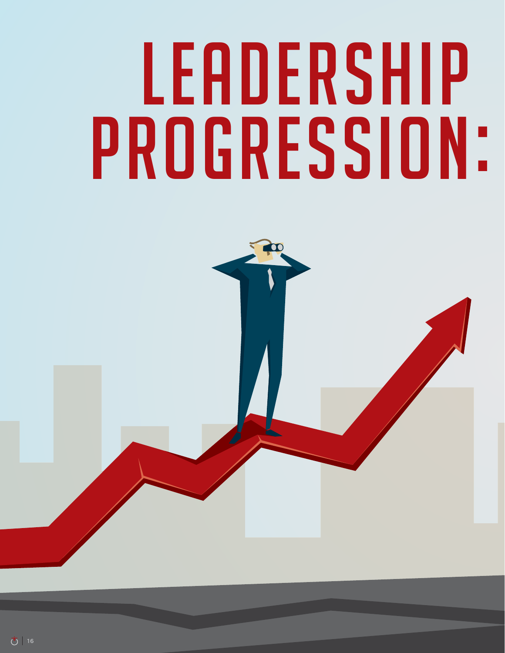## LEADERSHIP PROGRESSION:

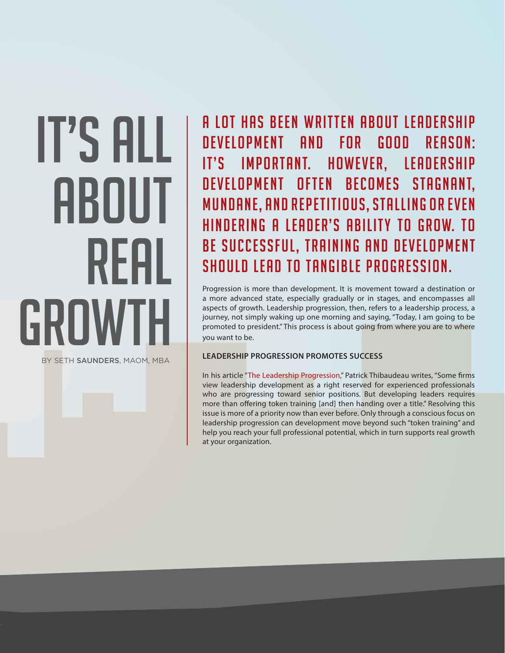### It's All ABOUT Real GROWTH

BY SETH SAUNDERS, MAOM, MBA

A LOT HAS BEEN WRITTEN ABOUT LEADERSHIP DEVELOPMENT AND FOR GOOD REASON: IT'S IMPORTANT. HOWEVER, LEADERSHIP DEVELOPMENT OFTEN BECOMES STAGNANT, mundane, and repetitious, stalling or even HINDERING A LEADER'S ABILITY TO GROW. TO BE SUCCESSFUL, TRAINING AND DEVELOPMENT should lead to tangible progression.

Progression is more than development. It is movement toward a destination or a more advanced state, especially gradually or in stages, and encompasses all aspects of growth. Leadership progression, then, refers to a leadership process, a journey, not simply waking up one morning and saying, "Today, I am going to be promoted to president." This process is about going from where you are to where you want to be.

### **LEADERSHIP PROGRESSION PROMOTES SUCCESS**

In his article "[The Leadership Progression,](http://www.di.net/articles/the_leadership_progression/)" Patrick Thibaudeau writes, "Some frms view leadership development as a right reserved for experienced professionals who are progressing toward senior positions. But developing leaders requires more than offering token training [and] then handing over a title." Resolving this issue is more of a priority now than ever before. Only through a conscious focus on leadership progression can development move beyond such "token training" and help you reach your full professional potential, which in turn supports real growth at your organization.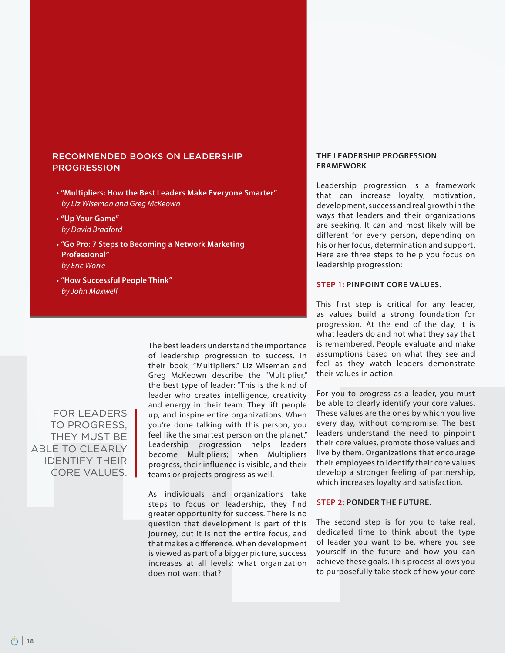### RECOMMENDED BOOKS ON LEADERSHIP PROGRESSION

- t**"Multipliers: How the Best Leaders Make Everyone Smarter"** by Liz Wiseman and Greg McKeown
- t**"Up Your Game"**  by David Bradford
- t**"Go Pro: 7 Steps to Becoming a Network Marketing Professional"**  by Eric Worre
- t**"How Successful People Think"** by John Maxwell

FOR LEADERS TO PROGRESS, THEY MUST BE ABLE TO CLEARLY IDENTIFY THEIR CORE VALUES. The best leaders understand the importance of leadership progression to success. In their book, "Multipliers," Liz Wiseman and Greg McKeown describe the "Multiplier," the best type of leader: "This is the kind of leader who creates intelligence, creativity and energy in their team. They lift people up, and inspire entire organizations. When you're done talking with this person, you feel like the smartest person on the planet." Leadership progression helps leaders become Multipliers; when Multipliers progress, their influence is visible, and their teams or projects progress as well.

As individuals and organizations take steps to focus on leadership, they find greater opportunity for success. There is no question that development is part of this journey, but it is not the entire focus, and that makes a difference. When development is viewed as part of a bigger picture, success increases at all levels; what organization does not want that?

### **THE LEADERSHIP PROGRESSION FRAMEWORK**

Leadership progression is a framework that can increase loyalty, motivation, development, success and real growth in the ways that leaders and their organizations are seeking. It can and most likely will be different for every person, depending on his or her focus, determination and support. Here are three steps to help you focus on leadership progression:

### **STEP 1: PINPOINT CORE VALUES.**

This first step is critical for any leader, as values build a strong foundation for progression. At the end of the day, it is what leaders do and not what they say that is remembered. People evaluate and make assumptions based on what they see and feel as they watch leaders demonstrate their values in action.

For you to progress as a leader, you must be able to clearly identify your core values. These values are the ones by which you live every day, without compromise. The best leaders understand the need to pinpoint their core values, promote those values and live by them. Organizations that encourage their employees to identify their core values develop a stronger feeling of partnership, which increases loyalty and satisfaction.

### **STEP 2: PONDER THE FUTURE.**

The second step is for you to take real, dedicated time to think about the type of leader you want to be, where you see yourself in the future and how you can achieve these goals. This process allows you to purposefully take stock of how your core